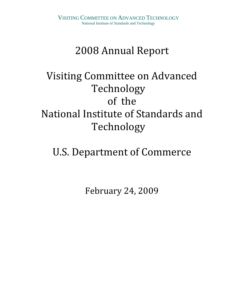## 2008 Annual Report

# Visiting Committee on Advanced Technology of the National Institute of Standards and Technology

# U.S. Department of Commerce

February 24, 2009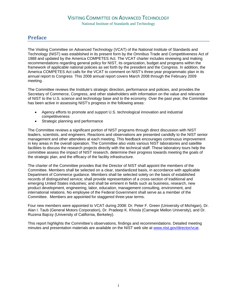#### **Preface**

The Visiting Committee on Advanced Technology (VCAT) of the National Institute of Standards and Technology (NIST) was established in its present form by the Omnibus Trade and Competitiveness Act of 1988 and updated by the America COMPETES Act. The VCAT charter includes reviewing and making recommendations regarding general policy for NIST, its organization, budget and programs within the framework of applicable national policies as set forth by the president and the Congress. In addition, the America COMPETES Act calls for the VCAT to comment on NIST's three-year programmatic plan in its annual report to Congress This 2008 annual report covers March 2008 through the February 2009 meeting.

The Committee reviews the Institute's strategic direction, performance and policies, and provides the Secretary of Commerce, Congress, and other stakeholders with information on the value and relevance of NIST to the U.S. science and technology base and to the economy. Over the past year, the Committee has been active in assessing NIST's progress in the following areas:

- Agency efforts to promote and support U.S. technological innovation and industrial competitiveness
- Strategic planning and performance

The Committee reviews a significant portion of NIST programs through direct discussion with NIST leaders, scientists, and engineers. Reactions and observations are presented candidly to the NIST senior management and other attendees at each meeting. This feedback encourages continuous improvement in key areas in the overall operation. The Committee also visits various NIST laboratories and satellite facilities to discuss the research projects directly with the technical staff. These laboratory tours help the committee assess the impact of NIST research, determine their progress towards meeting the goals of the strategic plan, and the efficacy of the facility infrastructure.

The charter of the Committee provides that the Director of NIST shall appoint the members of the Committee. Members shall be selected on a clear, standardized basis, in accordance with applicable Department of Commerce guidance. Members shall be selected solely on the basis of established records of distinguished service; shall provide representation of a cross-section of traditional and emerging United States industries; and shall be eminent in fields such as business, research, new product development, engineering, labor, education, management consulting, environment, and international relations. No employee of the Federal Government shall serve as a member of the Committee. Members are appointed for staggered three-year terms.

Four new members were appointed to VCAT during 2008: Dr. Peter F. Green (University of Michigan), Dr. Alan I. Taub (General Motors Corporation), Dr. Pradeep K. Khosla (Carnegie Mellon University), and Dr. Ruzena Bajcsy (University of California, Berkeley).

This report highlights the Committee's observations, findings and recommendations. Detailed meeting minutes and presentation materials are available on the NIST web site at [www.nist.gov/director/vcat.](http://www.nist.gov/director/vcat)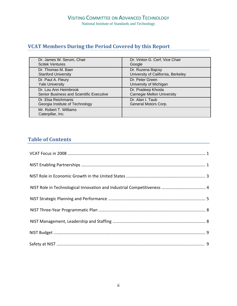## **VCAT Members During the Period Covered by this Report**

| Dr. James W. Serum, Chair                   | Dr. Vinton G. Cerf, Vice Chair     |
|---------------------------------------------|------------------------------------|
| <b>Scitek Ventures</b>                      | Google                             |
| Dr. Thomas M. Baer                          | Dr. Ruzena Bajcsy                  |
| <b>Stanford University</b>                  | University of California, Berkeley |
| Dr. Paul A. Fleury                          | Dr. Peter Green                    |
| <b>Yale University</b>                      | University of Michigan             |
| Dr. Lou Ann Heimbrook                       | Dr. Pradeep Khosla                 |
| Senior Business and Scientific Executive    | <b>Carnegie Mellon University</b>  |
| Dr. Elsa Reichmanis                         | Dr. Alan I. Taub                   |
| Georgia Institute of Technology             | General Motors Corp.               |
| Mr. Robert T. Williams<br>Caterpillar, Inc. |                                    |

## **Table of Contents**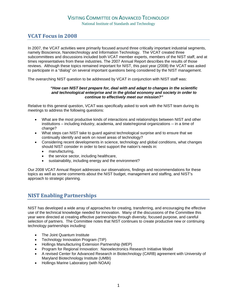National Institute of Standards and Technology

### **VCAT Focus in 2008**

In 2007, the VCAT activities were primarily focused around three critically important industrial segments, namely Bioscience, Nanotechnology and Information Technology. The VCAT created three subcommittees and discussions included both VCAT member experts, members of the NIST staff, and at times representatives from these industries. The 2007 Annual Report describes the results of those reviews. Although these topics remained important for NIST, this past year (2008) the VCAT was asked to participate in a "dialog" on several important questions being considered by the NIST management.

The overarching NIST question to be addressed by VCAT in conjunction with NIST staff was:

#### *"How can NIST best prepare for, deal with and adapt to changes in the scientific and technological enterprise and in the global economy and society in order to continue to effectively meet our mission?"*

Relative to this general question, VCAT was specifically asked to work with the NIST team during its meetings to address the following questions:

- What are the most productive kinds of interactions and relationships between NIST and other institutions – including industry, academia, and state/regional organizations -- in a time of change?
- What steps can NIST take to guard against technological surprise and to ensure that we continually identify and work on novel areas of technology?
- Considering recent developments in science, technology and global conditions, what changes should NIST consider in order to best support the nation's needs in:
	- manufacturing,
	- the service sector, including healthcare,
	- sustainability, including energy and the environment?

Our 2008 VCAT Annual Report addresses our observations, findings and recommendations for these topics as well as some comments about the NIST budget, management and staffing, and NIST's approach to strategic planning.

### **NIST Enabling Partnerships**

NIST has developed a wide array of approaches for creating, transferring, and encouraging the effective use of the technical knowledge needed for innovation. Many of the discussions of the Committee this year were directed at creating effective partnerships through diversity, focused purpose, and careful selection of partners. The Committee notes that NIST continues to create productive new or continuing technology partnerships including:

- The Joint Quantum Institute
- Technology Innovation Program (TIP)
- Hollings Manufacturing Extension Partnership (MEP)
- Program for Regional Innovation: Nanoelectronics Research Initiative Model
- A revised Center for Advanced Research in Biotechnology (CARB) agreement with University of Maryland Biotechnology Institute (UMBI)
- Hollings Marine Laboratory (with NOAA)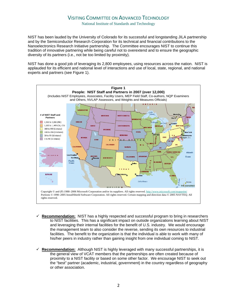National Institute of Standards and Technology

NIST has been lauded by the University of Colorado for its successful and longstanding JILA partnership and by the Semiconductor Research Corporation for its technical and financial contributions to the Nanoelectronics Research Initiative partnership. The Committee encourages NIST to continue this tradition of innovative partnering while being careful not to overextend and to ensure the geographic diversity of its partners (i.e., not be too limited by proximity).

NIST has done a good job of leveraging its 2,800 employees, using resources across the nation. NIST is applauded for its efficient and national level of interactions and use of local, state, regional, and national experts and partners (see Figure 1).



- **Recommendation:** NIST has a highly respected and successful program to bring in researchers to NIST facilities. This has a significant impact on outside organizations learning about NIST and leveraging their internal facilities for the benefit of U.S. industry. We would encourage the management team to also consider the reverse, sending its own resources to industrial facilities. The benefit to the organization is that the individual is able to work with many of his/her peers in industry rather than gaining insight from one individual coming to NIST.
- $\checkmark$  **Recommendation:** Although NIST is highly leveraged with many successful partnerships, it is the general view of VCAT members that the partnerships are often created because of proximity to a NIST facility or based on some other factor. We encourage NIST to seek out the "best" partner (academic, industrial, government) in the country regardless of geography or other association.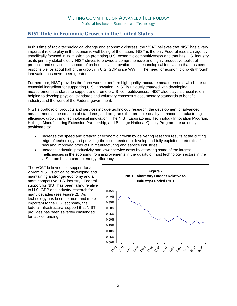National Institute of Standards and Technology

#### **NIST Role in Economic Growth in the United States**

In this time of rapid technological change and economic distress, the VCAT believes that NIST has a very important role to play in the economic well-being of the nation. NIST is the only Federal research agency specifically focused in its mission on promoting U.S. economic competitiveness and that has U.S. industry as its primary stakeholder. NIST strives to provide a comprehensive and highly productive toolkit of products and services in support of technological innovation. It is technological innovation that has been responsible for about half of the growth in U.S. GDP since WW II. The need for economic growth through innovation has never been greater.

Furthermore, NIST provides the framework to perform high quality, accurate measurements which are an essential ingredient for supporting U.S. innovation. NIST is uniquely charged with developing measurement standards to support and promote U.S. competitiveness. NIST also plays a crucial role in helping to develop physical standards and voluntary consensus documentary standards to benefit industry and the work of the Federal government.

NIST's portfolio of products and services include technology research, the development of advanced measurements, the creation of standards, and programs that promote quality, enhance manufacturing efficiency, growth and technological innovation. The NIST Laboratories, Technology Innovation Program, Hollings Manufacturing Extension Partnership, and Baldrige National Quality Program are uniquely positioned to:

- Increase the speed and breadth of economic growth by delivering research results at the cutting edge of technology and providing the tools needed to develop and fully exploit opportunities for new and improved products in manufacturing and service industries
- Increase industrial productivity and lower service costs by attacking some of the largest inefficiencies in the economy from improvements in the quality of most technology sectors in the U.S., from health care to energy efficiency.

The VCAT believes that support for a vibrant NIST is critical to developing and maintaining a stronger economy and a more competitive U.S. industry. Federal support for NIST has been falling relative to U.S. GDP and industry research for many decades (see Figure 2). As technology has become more and more important to the U.S. economy, the federal infrastructural support that NIST provides has been severely challenged for lack of funding.

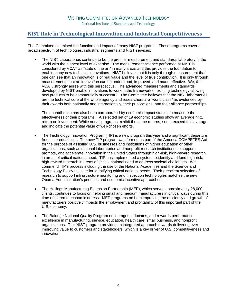National Institute of Standards and Technology

#### **NIST Role in Technological Innovation and Industrial Competitiveness**

The Committee examined the function and impact of many NIST programs. These programs cover a broad spectrum of technologies, industrial segments and NIST services:

• The NIST Laboratories continue to be the premier measurement and standards laboratory in the world with the highest level of expertise. The measurement science performed at NIST is considered by VCAT as "state of the art" in many areas and this provides the foundation to enable many new technical innovations. NIST believes that it is only through measurement that one can see that an innovation is of real value and the level of true contribution. It is only through measurements that an innovation can be understood, improved, and made effective. We, the VCAT, strongly agree with this perspective. The advanced measurements and standards developed by NIST enable innovations to work in the framework of existing technology allowing new products to be commercially successful. The Committee believes that the NIST laboratories are the technical core of the whole agency and researchers are "world class" as evidenced by their awards both nationally and internationally, their publications, and their alliance partnerships.

Their contribution has also been corroborated by economic impact studies to measure the effectiveness of their programs. A selected set of 19 economic studies show an average 44:1 return on investment. While not all programs exhibit the same returns, some exceed this average and indicate the potential value of well-chosen efforts.

- The Technology Innovation Program (TIP) is a new program this year and a significant departure from its predecessor. The new TIP program was formed as part of the America COMPETES Act for the purpose of assisting U.S. businesses and institutions of higher education or other organizations, such as national laboratories and nonprofit research institutions, to support, promote, and accelerate innovation in the United States through high-risk, high-reward research in areas of critical national need. TIP has implemented a system to identify and fund high-risk, high-reward research in areas of critical national need to address societal challenges. We commend TIP's process including the use of the National Academies and the Science and Technology Policy Institute for identifying critical national needs. Their prescient selection of research to support infrastructure monitoring and inspection technologies matches the new Obama Administration's priorities and economic incentive approaches.
- The Hollings Manufacturing Extension Partnership (MEP), which serves approximately 28,000 clients, continues to focus on helping small and medium manufacturers in critical ways during this time of extreme economic duress. MEP programs on both improving the efficiency and growth of manufacturers positively impacts the employment and profitability of this important part of the U.S. economy.
- The Baldrige National Quality Program encourages, educates, and rewards performance excellence in manufacturing, service, education, health care, small business, and nonprofit organizations. This NIST program provides an integrated approach towards delivering everimproving value to customers and stakeholders, which is a key driver of U.S. competitiveness and innovation.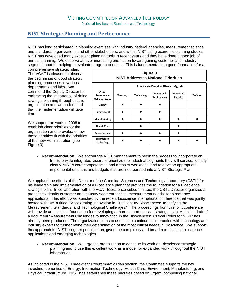National Institute of Standards and Technology

## **NIST Strategic Planning and Performance**

NIST has long participated in planning exercises with industry, federal agencies, measurement science and standards organizations and other stakeholders, and within NIST using economic planning studies. NIST has developed many excellent planning tools in recent years and they have done a good job of annual planning. We observe an ever increasing orientation toward gaining customer and industry segment input for helping to evaluate program priorities. This is fundamental to a good foundation for a

comprehensive strategic plan. The VCAT is pleased to observe the beginnings of good strategic planning processes in various departments and labs. We commend the Deputy Director for embracing the importance of doing strategic planning throughout the organization and we understand that the implementation will take time.

We support the work in 2008 to establish clear priorities for the organization and to evaluate how these priorities fit with the priorities of the new Administration (see Figure 3).

| Figure 3<br><b>NIST Addresses National Priorities</b>     |                                               |            |                           |                      |         |  |  |
|-----------------------------------------------------------|-----------------------------------------------|------------|---------------------------|----------------------|---------|--|--|
|                                                           | <b>Priorities in President Obama's Agenda</b> |            |                           |                      |         |  |  |
| <b>NIST</b><br><b>Investment</b><br><b>Priority Areas</b> | Economy                                       | Technology | Energy and<br>Environment | Homeland<br>Security | Defense |  |  |
| Energy                                                    |                                               |            |                           |                      |         |  |  |
| Environment                                               |                                               |            |                           |                      |         |  |  |
| Manufacturing                                             |                                               |            |                           |                      |         |  |  |
| <b>Health Care</b>                                        |                                               |            |                           |                      |         |  |  |
| Infrastructure                                            |                                               |            |                           |                      |         |  |  |
| Information<br>Technology                                 |                                               |            |                           |                      |         |  |  |

9 **Recommendation:** We encourage NIST management to begin the process to incorporate an Institute-wide integrated vision, to prioritize the industrial segments they will service, identify clearly NIST's core competencies and areas of weakness, and to develop appropriate implementation plans and budgets that are incorporated into a NIST Strategic Plan.

We applaud the efforts of the Director of the Chemical Sciences and Technology Laboratory (CSTL) for his leadership and implementation of a Bioscience plan that provides the foundation for a Bioscience strategic plan. In collaboration with the VCAT Bioscience subcommittee, the CSTL Director organized a process to identify customer and industry segment "critical measurement needs" for bioscience applications. This effort was launched by the recent bioscience international conference that was jointly hosted with UMBI titled, "Accelerating Innovation in 21st Century Biosciences: Identifying the Measurement, Standards, and Technological Challenges." The proceedings from this joint conference will provide an excellent foundation for developing a more comprehensive strategic plan. An initial draft of a document "Measurement Challenges to Innovation in the Biosciences: Critical Roles for NIST" has already been produced. The organization plans to use this to continue its interaction with technology and industry experts to further refine their determination of the most critical needs in Bioscience. We support this approach for NIST program prioritization, given the complexity and breadth of possible bioscience applications and emerging technologies.

9 **Recommendation:** We urge the organization to continue its work on Bioscience strategic planning and to use this excellent work as a model for expanded work throughout the NIST laboratories.

As indicated in the NIST Three-Year Programmatic Plan section, the Committee supports the new investment priorities of Energy, Information Technology, Health Care, Environment, Manufacturing, and Physical Infrastructure. NIST has established these priorities based on urgent, compelling national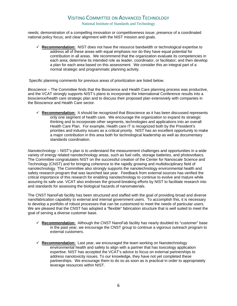National Institute of Standards and Technology

needs; demonstration of a compelling innovation or competitiveness issue; presence of a coordinated national policy focus; and clear alignment with the NIST mission and goals.

9 **Recommendation:** NIST does not have the resource bandwidth or technological expertise to address all of these areas with equal emphasis nor do they have equal potential for contribution in all areas. We recommend that the organization evaluate its competencies in each area; determine its intended role as leader, coordinator, or facilitator; and then develop a plan for each area based on this assessment. We consider this an integral part of a normal strategic and programmatic planning activity.

Specific planning comments for previous areas of prioritization are listed below.

*Bioscience –* The Committee finds that the Bioscience and Health Care planning process was productive, and the VCAT strongly supports NIST's plans to incorporate the International Conference results into a bioscience/health care strategic plan and to discuss their proposed plan extensively with companies in the Bioscience and Health Care sector.

9 **Recommendation:** It should be recognized that Bioscience as it has been discussed represents only one segment of health care. We encourage the organization to expand its strategic thinking and to incorporate other segments, technologies and applications into an overall Health Care Plan. For example, Health care IT is recognized both by the President's priorities and industry issues as a critical priority. NIST has an excellent opportunity to make a major contribution in this area both for technological leadership as well as documentary standards coordination.

*Nanotechnology –* NIST's plan is to understand the measurement challenges and opportunities in a wide variety of energy related nanotechnology areas, such as fuel cells, storage batteries, and photovoltaics. The Committee congratulates NIST on the successful creation of the Center for Nanoscale Science and Technology (CNST) and for bringing coherence to the rapidly growing and multidisciplinary field of nanotechnology. The Committee also strongly supports the nanotechnology environmental health and safety research program that was launched last year. Feedback from external sources has verified the critical importance of this research for enabling nanotechnology to continue to evolve and mature while assuring its safe use. VCAT also endorses the ground-breaking efforts by NIST to facilitate research into and standards for assessing the biological hazards of nanomaterials.

The CNST NanoFab facility has been structured and staffed with the goal of providing broad and diverse nanofabrication capability to external and internal government users. To accomplish this, it is necessary to develop a portfolio of robust processes that can be customized to meet the needs of particular users. We are pleased that the CNST has adopted a "flexible" fabrication structure that is well suited to meet the goal of serving a diverse customer base.

- 9 **Recommendation:** Although the CNST NanoFab facility has nearly doubled its "customer" base in the past year, we encourage the CNST group to continue a vigorous outreach program to external customers.
- $\checkmark$  **Recommendation:** Last year, we encouraged the team working on Nanotechnology environmental health and safety to align with a partner that has toxicology application expertise. NIST has accepted the VCAT's advice to focus on external partnerships to address nanotoxicity issues. To our knowledge, they have not yet completed these partnerships. We encourage them to do so as soon as is practical in order to appropriately leverage resources within NIST.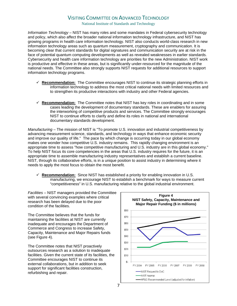National Institute of Standards and Technology

*Information Technology –* NIST has many roles and some mandates in Federal cybersecurity technology and policy, which also affect the broader national information technology infrastructure, and NIST has growing programs in health care information technology. NIST also conducts world-class research in new information technology areas such as quantum measurement, cryptography and communication. It is becoming clear that current standards for digital signatures and communication security are at risk in the face of potential quantum computing developments as well as revealed weaknesses in earlier standards. Cybersecurity and health care information technology are priorities for the new Administration. NIST work is productive and effective in these areas, but is significantly under-resourced for the magnitude of the national needs. The Committee also strongly supports NIST requests for additional resources to support information technology programs.

- 9 **Recommendation:** The Committee encourages NIST to continue its strategic planning efforts in information technology to address the most critical national needs with limited resources and to strengthen its productive interactions with industry and other Federal agencies.
- 9 **Recommendation:** The Committee notes that NIST has key roles in coordinating and in some cases leading the development of documentary standards. These are enablers for assuring the interworking of competitive products and services. The Committee strongly encourages NIST to continue efforts to clarify and define its roles in national and international documentary standards development.

*Manufacturing –* The mission of NIST is "To promote U.S. innovation and industrial competitiveness by advancing measurement science, standards, and technology in ways that enhance economic security and improve our quality of life." The pace by which change is occurring today in our global economy makes one wonder how competitive U.S. industry remains. This rapidly changing environment is an appropriate time to assess "how competitive manufacturing and U.S. industry are in this global economy." To help NIST focus its core competencies in the areas that U.S. industry requires for the future, it is an appropriate time to assemble manufacturing industry representatives and establish a current baseline. NIST, through its collaborative efforts, is in a unique position to assist industry in determining where it needs to apply the most focus to obtain the most benefit.

9 **Recommendation:** Since NIST has established a priority for enabling innovation in U.S. manufacturing, we encourage NIST to establish a benchmark for ways to measure current "competitiveness" in U.S. manufacturing relative to the global industrial environment.

*Facilities –* NIST managers provided the Committee with several convincing examples where critical research has been delayed due to the poor condition of the facilities.

The Committee believes that the funds for maintaining the facilities at NIST are currently inadequate and encourages the Department of Commerce and Congress to increase Safety, Capacity, Maintenance and Major Repairs funds (see Figure 4).

The Committee notes that NIST proactively outsources research as a solution to inadequate facilities. Given the current state of its facilities, the Committee encourages NIST to continue its external collaborations, but in addition to seek support for significant facilities construction, refurbishing and repair.

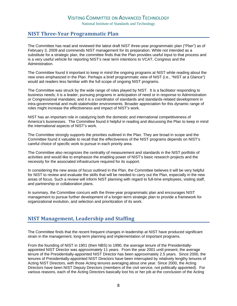National Institute of Standards and Technology

### **NIST ThreeYear Programmatic Plan**

The Committee has read and reviewed the latest draft NIST three-year programmatic plan ("Plan") as of February 3, 2009 and commends NIST management for its preparation. While not intended as a substitute for a strategic plan, the committee finds that the Plan provides useful input to that process and is a very useful vehicle for reporting NIST's near term intentions to VCAT, Congress and the Administration.

The Committee found it important to keep in mind the ongoing programs at NIST while reading about the new ones emphasized in the Plan. Perhaps a brief programmatic view of NIST (i.e., "NIST at a Glance") would aid readers less familiar with the full scope of ongoing NIST programs.

The Committee was struck by the wide range of roles played by NIST. It is a facilitator responding to business needs; it is a leader, pursuing programs in anticipation of need or in response to Administration or Congressional mandates; and it is a coordinator of standards and standards-related development in intra-governmental and multi-stakeholder environments. Broader appreciation for this dynamic range of roles might increase the effectiveness and impact of NIST's work.

NIST has an important role in catalyzing both the domestic and international competitiveness of America's businesses. The Committee found it helpful in reading and discussing the Plan to keep in mind the international aspects of NIST's work.

The Committee strongly supports the priorities outlined in the Plan. They are broad in scope and the Committee found it valuable to recall that the effectiveness of the NIST programs depends on NIST's careful choice of specific work to pursue in each priority area.

The Committee also recognizes the centrality of measurement and standards in the NIST portfolio of activities and would like to emphasize the enabling power of NIST's basic research projects and the necessity for the associated infrastructure required for its support.

In considering the new areas of focus outlined in the Plan, the Committee believes it will be very helpful for NIST to review and evaluate the skills that will be needed to carry out the Plan, especially in the new areas of focus. Such a review will inform NIST planning with regard to full-time employees, visiting staff, and partnership or collaboration plans.

In summary, the Committee concurs with the three-year programmatic plan and encourages NIST management to pursue further development of a longer-term strategic plan to provide a framework for organizational evolution, and selection and prioritization of its work.

#### **NIST Management, Leadership and Staffing**

The Committee finds that the recent frequent changes in leadership at NIST have produced significant strain in the management, long-term planning and implementation of important programs.

From the founding of NIST in 1901 (then NBS) to 1990, the average tenure of the Presidentiallyappointed NIST Director was approximately 11 years. From the year 2001 until present, the average tenure of the Presidentially-appointed NIST Director has been approximately 2.5 years. Since 2000, the tenures of Presidentially-appointed NIST Directors have been interrupted by relatively lengthy tenures of Acting NIST Directors, with those Acting tenures averaging about one year. Since 2000, the Acting Directors have been NIST Deputy Directors (members of the civil service, not politically appointed). For various reasons, each of the Acting Directors basically lost his or her job at the conclusion of the Acting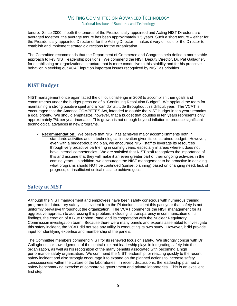National Institute of Standards and Technology

tenure. Since 2000, if both the tenures of the Presidentially-appointed and Acting NIST Directors are averaged together, the average tenure has been approximately 1.5 years. Such a short tenure – either for the Presidentially-appointed Director or for the Acting Director – makes it very difficult for the Director to establish and implement strategic directions for the organization.

The Committee recommends that the Department of Commerce and Congress help define a more stable approach to key NIST leadership positions. We commend the NIST Deputy Director, Dr. Pat Gallagher, for establishing an organizational structure that is more conducive to this stability and for his proactive behavior in seeking out VCAT input on important issues recognized by NIST as priorities.

### **NIST Budget**

NIST management once again faced the difficult challenge in 2008 to accomplish their goals and commitments under the budget pressure of a "Continuing Resolution Budget". We applaud the team for maintaining a strong positive spirit and a "can do" attitude throughout this difficult year. The VCAT is encouraged that the America COMPETES Act, intended to double the NIST budget in ten years remains a goal priority. We should emphasize, however, that a budget that doubles in ten years represents only approximately 7% per year increase. This growth is not enough beyond inflation to produce significant technological advances in new programs.

9 **Recommendation:** We believe that NIST has achieved major accomplishments both in standards activities and in technological innovation given its constrained budget. However, even with a budget-doubling plan, we encourage NIST staff to leverage its resources through very proactive partnering in coming years, especially in areas where it does not have internal competencies. We are satisfied that NIST staff recognizes the importance of this and assume that they will make it an even greater part of their ongoing activities in the coming years. In addition, we encourage the NIST management to be proactive in deciding what programs should NOT be continued (sunset planning) based on changing need, lack of progress, or insufficient critical mass to achieve goals.

### **Safety at NIST**

Although the NIST management and employees have been safety conscious with numerous training programs for laboratory safety, it is evident from the Plutonium incident this past year that safety is not uniformly pervasive throughout the organization. The VCAT commends the NIST management for its aggressive approach to addressing this problem, including its transparency in communication of its findings, the creation of a Blue Ribbon Panel and its cooperation with the Nuclear Regulatory Commission investigation team. Because there were many panels and experts assembled to investigate this safety incident, the VCAT did not see any utility in conducting its own study. However, it did provide input for identifying expertise and membership of the panels.

The Committee members commend NIST for its renewed focus on safety. We strongly concur with Dr. Gallagher's acknowledgement of the central role that leadership plays in integrating safety into the organization, as well as his recognition of the many benefits associated with becoming a high performance safety organization. We commend the NIST leadership for reacting quickly to the recent safety incident and also strongly encourage it to expand on the planned actions to increase safety consciousness within the culture of the laboratories. In recent discussions, the leadership planned a safety benchmarking exercise of comparable government and private laboratories. This is an excellent first step.